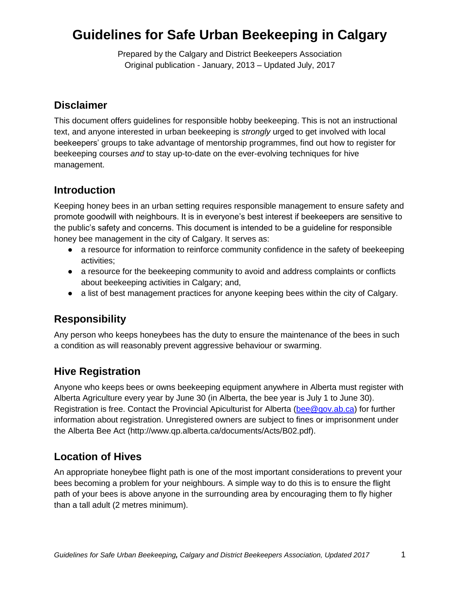# **Guidelines for Safe Urban Beekeeping in Calgary**

Prepared by the Calgary and District Beekeepers Association Original publication - January, 2013 – Updated July, 2017

#### **Disclaimer**

This document offers guidelines for responsible hobby beekeeping. This is not an instructional text, and anyone interested in urban beekeeping is *strongly* urged to get involved with local beekeepers' groups to take advantage of mentorship programmes, find out how to register for beekeeping courses *and* to stay up-to-date on the ever-evolving techniques for hive management.

#### **Introduction**

Keeping honey bees in an urban setting requires responsible management to ensure safety and promote goodwill with neighbours. It is in everyone's best interest if beekeepers are sensitive to the public's safety and concerns. This document is intended to be a guideline for responsible honey bee management in the city of Calgary. It serves as:

- a resource for information to reinforce community confidence in the safety of beekeeping activities;
- a resource for the beekeeping community to avoid and address complaints or conflicts about beekeeping activities in Calgary; and,
- a list of best management practices for anyone keeping bees within the city of Calgary.

# **Responsibility**

Any person who keeps honeybees has the duty to ensure the maintenance of the bees in such a condition as will reasonably prevent aggressive behaviour or swarming.

## **Hive Registration**

Anyone who keeps bees or owns beekeeping equipment anywhere in Alberta must register with Alberta Agriculture every year by June 30 (in Alberta, the bee year is July 1 to June 30). Registration is free. Contact the Provincial Apiculturist for Alberta [\(bee@gov.ab.ca\)](mailto:bee@gov.ab.ca) for further information about registration. Unregistered owners are subject to fines or imprisonment under the Alberta Bee Act (http://www.qp.alberta.ca/documents/Acts/B02.pdf).

## **Location of Hives**

An appropriate honeybee flight path is one of the most important considerations to prevent your bees becoming a problem for your neighbours. A simple way to do this is to ensure the flight path of your bees is above anyone in the surrounding area by encouraging them to fly higher than a tall adult (2 metres minimum).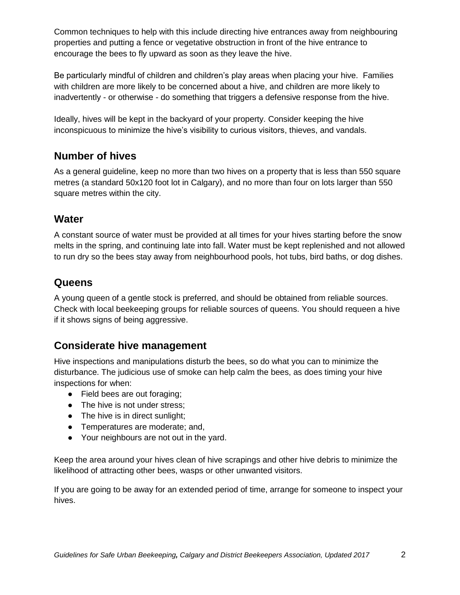Common techniques to help with this include directing hive entrances away from neighbouring properties and putting a fence or vegetative obstruction in front of the hive entrance to encourage the bees to fly upward as soon as they leave the hive.

Be particularly mindful of children and children's play areas when placing your hive. Families with children are more likely to be concerned about a hive, and children are more likely to inadvertently - or otherwise - do something that triggers a defensive response from the hive.

Ideally, hives will be kept in the backyard of your property. Consider keeping the hive inconspicuous to minimize the hive's visibility to curious visitors, thieves, and vandals.

## **Number of hives**

As a general guideline, keep no more than two hives on a property that is less than 550 square metres (a standard 50x120 foot lot in Calgary), and no more than four on lots larger than 550 square metres within the city.

#### **Water**

A constant source of water must be provided at all times for your hives starting before the snow melts in the spring, and continuing late into fall. Water must be kept replenished and not allowed to run dry so the bees stay away from neighbourhood pools, hot tubs, bird baths, or dog dishes.

#### **Queens**

A young queen of a gentle stock is preferred, and should be obtained from reliable sources. Check with local beekeeping groups for reliable sources of queens. You should requeen a hive if it shows signs of being aggressive.

#### **Considerate hive management**

Hive inspections and manipulations disturb the bees, so do what you can to minimize the disturbance. The judicious use of smoke can help calm the bees, as does timing your hive inspections for when:

- Field bees are out foraging;
- The hive is not under stress;
- The hive is in direct sunlight;
- Temperatures are moderate; and,
- Your neighbours are not out in the yard.

Keep the area around your hives clean of hive scrapings and other hive debris to minimize the likelihood of attracting other bees, wasps or other unwanted visitors.

If you are going to be away for an extended period of time, arrange for someone to inspect your hives.